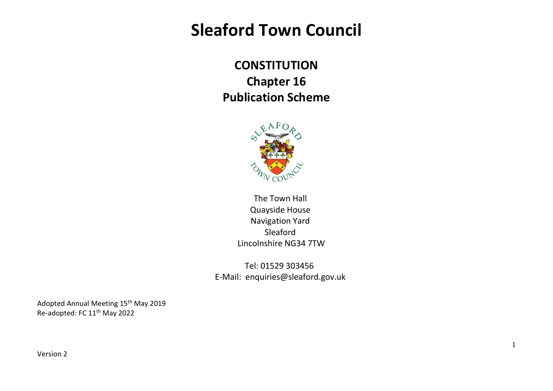## **Sleaford Town Council**

**CONSTITUTION Chapter 16 Publication Scheme**



The Town Hall Quayside House Navigation Yard Sleaford Lincolnshire NG34 7TW

Tel: 01529 303456 E-Mail: enquiries@sleaford.gov.uk

1

Adopted Annual Meeting 15<sup>th</sup> May 2019 Re-adopted: FC 11<sup>th</sup> May 2022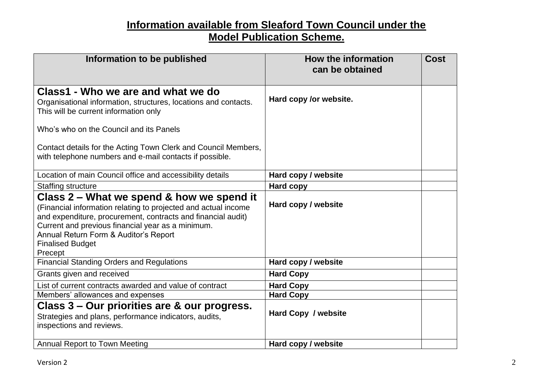## **Information available from Sleaford Town Council under the Model Publication Scheme.**

| Information to be published                                                                                                                                                                                                                                                                                     | <b>How the information</b><br>can be obtained | <b>Cost</b> |
|-----------------------------------------------------------------------------------------------------------------------------------------------------------------------------------------------------------------------------------------------------------------------------------------------------------------|-----------------------------------------------|-------------|
| Class1 - Who we are and what we do<br>Organisational information, structures, locations and contacts.<br>This will be current information only                                                                                                                                                                  | Hard copy /or website.                        |             |
| Who's who on the Council and its Panels                                                                                                                                                                                                                                                                         |                                               |             |
| Contact details for the Acting Town Clerk and Council Members,<br>with telephone numbers and e-mail contacts if possible.                                                                                                                                                                                       |                                               |             |
| Location of main Council office and accessibility details                                                                                                                                                                                                                                                       | Hard copy / website                           |             |
| <b>Staffing structure</b>                                                                                                                                                                                                                                                                                       | <b>Hard copy</b>                              |             |
| Class 2 – What we spend & how we spend it<br>(Financial information relating to projected and actual income<br>and expenditure, procurement, contracts and financial audit)<br>Current and previous financial year as a minimum.<br>Annual Return Form & Auditor's Report<br><b>Finalised Budget</b><br>Precept | Hard copy / website                           |             |
| <b>Financial Standing Orders and Regulations</b>                                                                                                                                                                                                                                                                | Hard copy / website                           |             |
| Grants given and received                                                                                                                                                                                                                                                                                       | <b>Hard Copy</b>                              |             |
| List of current contracts awarded and value of contract                                                                                                                                                                                                                                                         | <b>Hard Copy</b>                              |             |
| Members' allowances and expenses                                                                                                                                                                                                                                                                                | <b>Hard Copy</b>                              |             |
| Class 3 – Our priorities are & our progress.<br>Strategies and plans, performance indicators, audits,<br>inspections and reviews.                                                                                                                                                                               | Hard Copy / website                           |             |
| <b>Annual Report to Town Meeting</b>                                                                                                                                                                                                                                                                            | Hard copy / website                           |             |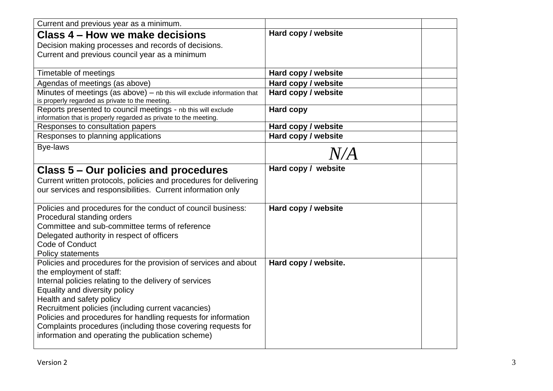| Current and previous year as a minimum.                                                                                         |                      |  |
|---------------------------------------------------------------------------------------------------------------------------------|----------------------|--|
| Class 4 – How we make decisions                                                                                                 | Hard copy / website  |  |
| Decision making processes and records of decisions.                                                                             |                      |  |
| Current and previous council year as a minimum                                                                                  |                      |  |
|                                                                                                                                 |                      |  |
| Timetable of meetings                                                                                                           | Hard copy / website  |  |
| Agendas of meetings (as above)                                                                                                  | Hard copy / website  |  |
| Minutes of meetings (as above) - nb this will exclude information that<br>is properly regarded as private to the meeting.       | Hard copy / website  |  |
| Reports presented to council meetings - nb this will exclude<br>information that is properly regarded as private to the meeting | <b>Hard copy</b>     |  |
| Responses to consultation papers                                                                                                | Hard copy / website  |  |
| Responses to planning applications                                                                                              | Hard copy / website  |  |
| <b>Bye-laws</b>                                                                                                                 |                      |  |
|                                                                                                                                 | N/A                  |  |
| Class 5 – Our policies and procedures                                                                                           | Hard copy / website  |  |
| Current written protocols, policies and procedures for delivering                                                               |                      |  |
| our services and responsibilities. Current information only                                                                     |                      |  |
|                                                                                                                                 |                      |  |
| Policies and procedures for the conduct of council business:                                                                    | Hard copy / website  |  |
| Procedural standing orders                                                                                                      |                      |  |
| Committee and sub-committee terms of reference                                                                                  |                      |  |
| Delegated authority in respect of officers                                                                                      |                      |  |
| Code of Conduct                                                                                                                 |                      |  |
| <b>Policy statements</b>                                                                                                        |                      |  |
| Policies and procedures for the provision of services and about                                                                 | Hard copy / website. |  |
| the employment of staff:                                                                                                        |                      |  |
| Internal policies relating to the delivery of services                                                                          |                      |  |
| Equality and diversity policy<br>Health and safety policy                                                                       |                      |  |
| Recruitment policies (including current vacancies)                                                                              |                      |  |
| Policies and procedures for handling requests for information                                                                   |                      |  |
| Complaints procedures (including those covering requests for                                                                    |                      |  |
| information and operating the publication scheme)                                                                               |                      |  |
|                                                                                                                                 |                      |  |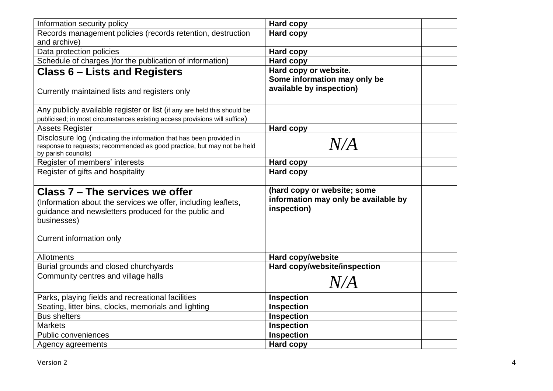| Information security policy                                                                                                                                             | <b>Hard copy</b>                                                                   |  |
|-------------------------------------------------------------------------------------------------------------------------------------------------------------------------|------------------------------------------------------------------------------------|--|
| Records management policies (records retention, destruction                                                                                                             | <b>Hard copy</b>                                                                   |  |
| and archive)                                                                                                                                                            |                                                                                    |  |
| Data protection policies                                                                                                                                                | Hard copy                                                                          |  |
| Schedule of charges ) for the publication of information)                                                                                                               | <b>Hard copy</b>                                                                   |  |
| <b>Class 6 – Lists and Registers</b>                                                                                                                                    | Hard copy or website.                                                              |  |
|                                                                                                                                                                         | Some information may only be                                                       |  |
| Currently maintained lists and registers only                                                                                                                           | available by inspection)                                                           |  |
| Any publicly available register or list (if any are held this should be                                                                                                 |                                                                                    |  |
| publicised; in most circumstances existing access provisions will suffice)                                                                                              |                                                                                    |  |
| <b>Assets Register</b>                                                                                                                                                  | <b>Hard copy</b>                                                                   |  |
| Disclosure log (indicating the information that has been provided in                                                                                                    |                                                                                    |  |
| response to requests; recommended as good practice, but may not be held                                                                                                 | N/A                                                                                |  |
| by parish councils)                                                                                                                                                     |                                                                                    |  |
| Register of members' interests                                                                                                                                          | <b>Hard copy</b>                                                                   |  |
| Register of gifts and hospitality                                                                                                                                       | <b>Hard copy</b>                                                                   |  |
| Class 7 – The services we offer<br>(Information about the services we offer, including leaflets,<br>guidance and newsletters produced for the public and<br>businesses) | (hard copy or website; some<br>information may only be available by<br>inspection) |  |
| Current information only                                                                                                                                                |                                                                                    |  |
| <b>Allotments</b>                                                                                                                                                       | <b>Hard copy/website</b>                                                           |  |
| Burial grounds and closed churchyards                                                                                                                                   | Hard copy/website/inspection                                                       |  |
| Community centres and village halls                                                                                                                                     | $N\!/\!A$                                                                          |  |
| Parks, playing fields and recreational facilities                                                                                                                       | <b>Inspection</b>                                                                  |  |
| Seating, litter bins, clocks, memorials and lighting                                                                                                                    | <b>Inspection</b>                                                                  |  |
| <b>Bus shelters</b>                                                                                                                                                     | <b>Inspection</b>                                                                  |  |
| <b>Markets</b>                                                                                                                                                          | Inspection                                                                         |  |
| Public conveniences                                                                                                                                                     | <b>Inspection</b>                                                                  |  |
| Agency agreements                                                                                                                                                       | <b>Hard copy</b>                                                                   |  |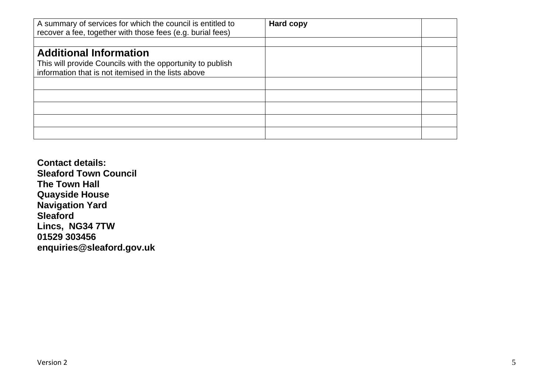| A summary of services for which the council is entitled to<br>recover a fee, together with those fees (e.g. burial fees)                           | Hard copy |  |
|----------------------------------------------------------------------------------------------------------------------------------------------------|-----------|--|
|                                                                                                                                                    |           |  |
| <b>Additional Information</b><br>This will provide Councils with the opportunity to publish<br>information that is not itemised in the lists above |           |  |
|                                                                                                                                                    |           |  |
|                                                                                                                                                    |           |  |
|                                                                                                                                                    |           |  |
|                                                                                                                                                    |           |  |
|                                                                                                                                                    |           |  |

**Contact details: Sleaford Town Council The Town Hall Quayside House Navigation Yard Sleaford Lincs, NG34 7TW 01529 303456 enquiries@sleaford.gov.uk**